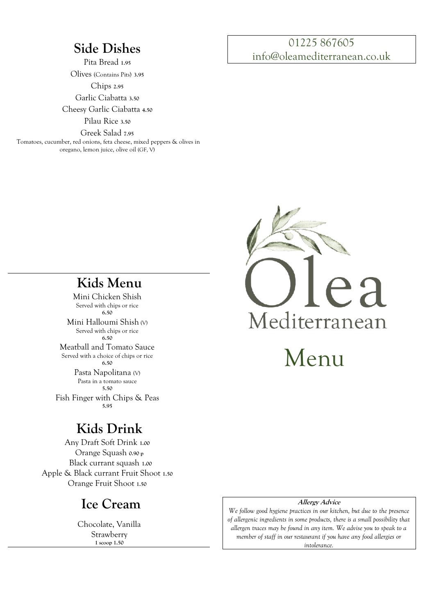# **Side Dishes**

Pita Bread **1.95** 

Olives (Contains Pits) **3.95** 

Chips **2.95** 

Garlic Ciabatta **3.50** 

Cheesy Garlic Ciabatta **4.50** 

Pilau Rice **3.50**

Greek Salad **7.95**

 Tomatoes, cucumber, red onions, feta cheese, mixed peppers & olives in oregano, lemon juice, olive oil (GF, V)

### 01225 867605 info@oleamediterranean.co.uk



**Kids Menu**

Mini Chicken Shish Served with chips or rice **6.50** Mini Halloumi Shish (V) Served with chips or rice **6.50** Meatball and Tomato Sauce Served with a choice of chips or rice **6.50** Pasta Napolitana (V) Pasta in a tomato sauce **5.50** Fish Finger with Chips & Peas

# **Kids Drink**

**5.95**

Any Draft Soft Drink **1.00** Orange Squash **0.90 p** Black currant squash **1.00** Apple & Black currant Fruit Shoot **1.50** Orange Fruit Shoot **1.50**

## **Ice Cream**

Chocolate, Vanilla Strawberry **1 scoop 1.50**

## **Allergy Advice**

*We follow good hygiene practices in our kitchen, but due to the presence of allergenic ingredients in some products, there is a small possibility that allergen traces may be found in any item. We advise you to speak to a member of staff in our restaurant if you have any food allergies or intolerance.*